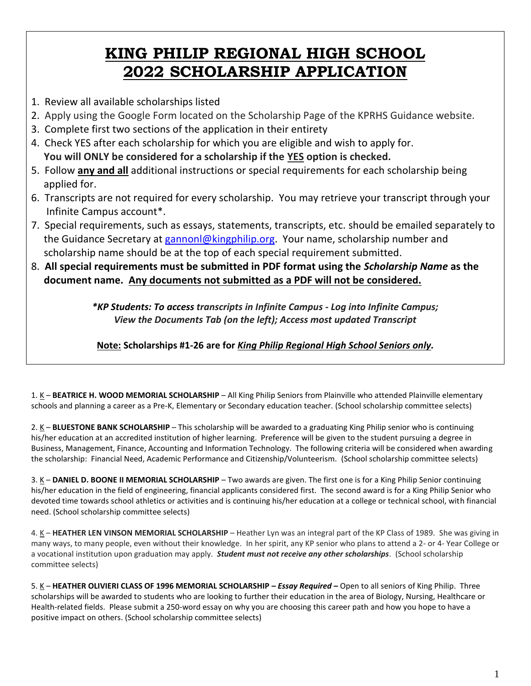## **KING PHILIP REGIONAL HIGH SCHOOL 2022 SCHOLARSHIP APPLICATION**

- 1. Review all available scholarships listed
- 2.Apply using the Google Form located on the Scholarship Page of the KPRHS Guidance website.
- 3. Complete first two sections of the application in their entirety
- 4. Check YES after each scholarship for which you are eligible and wish to apply for. **You will ONLY be considered for a scholarship if the YES option is checked.**
- 5. Follow **any and all** additional instructions or special requirements for each scholarship being applied for.
- 6. Transcripts are not required for every scholarship. You may retrieve your transcript through your Infinite Campus account\*.
- 7. Special requirements, such as essays, statements, transcripts, etc. should be emailed separately to the Guidance Secretary at [gannonl@kingphilip.org.](mailto:gannonl@kingphilip.org) Your name, scholarship number and scholarship name should be at the top of each special requirement submitted.
- 8. **All special requirements must be submitted in PDF format using the** *Scholarship Name* **as the document name. Any documents not submitted as a PDF will not be considered.**

*\*KP Students: To access transcripts in Infinite Campus - Log into Infinite Campus; View the Documents Tab (on the left); Access most updated Transcript*

**Note: Scholarships #1-26 are for** *King Philip Regional High School Seniors only.*

1. K – **BEATRICE H. WOOD MEMORIAL SCHOLARSHIP** – All King Philip Seniors from Plainville who attended Plainville elementary schools and planning a career as a Pre-K, Elementary or Secondary education teacher. (School scholarship committee selects)

2. K – **BLUESTONE BANK SCHOLARSHIP** – This scholarship will be awarded to a graduating King Philip senior who is continuing his/her education at an accredited institution of higher learning. Preference will be given to the student pursuing a degree in Business, Management, Finance, Accounting and Information Technology. The following criteria will be considered when awarding the scholarship: Financial Need, Academic Performance and Citizenship/Volunteerism. (School scholarship committee selects)

3. K – **DANIEL D. BOONE II MEMORIAL SCHOLARSHIP** – Two awards are given. The first one is for a King Philip Senior continuing his/her education in the field of engineering, financial applicants considered first. The second award is for a King Philip Senior who devoted time towards school athletics or activities and is continuing his/her education at a college or technical school, with financial need. (School scholarship committee selects)

4. K - HEATHER LEN VINSON MEMORIAL SCHOLARSHIP - Heather Lyn was an integral part of the KP Class of 1989. She was giving in many ways, to many people, even without their knowledge. In her spirit, any KP senior who plans to attend a 2- or 4- Year College or a vocational institution upon graduation may apply. *Student must not receive any other scholarships*. (School scholarship committee selects)

5. K – **HEATHER OLIVIERI CLASS OF 1996 MEMORIAL SCHOLARSHIP –** *Essay Required* **–** Open to all seniors of King Philip. Three scholarships will be awarded to students who are looking to further their education in the area of Biology, Nursing, Healthcare or Health-related fields. Please submit a 250-word essay on why you are choosing this career path and how you hope to have a positive impact on others. (School scholarship committee selects)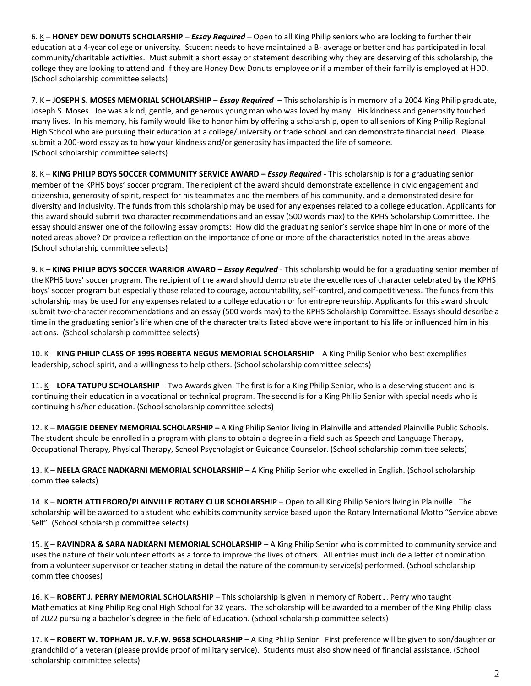6. K – **HONEY DEW DONUTS SCHOLARSHIP** – *Essay Required* – Open to all King Philip seniors who are looking to further their education at a 4-year college or university. Student needs to have maintained a B- average or better and has participated in local community/charitable activities. Must submit a short essay or statement describing why they are deserving of this scholarship, the college they are looking to attend and if they are Honey Dew Donuts employee or if a member of their family is employed at HDD. (School scholarship committee selects)

7. K – **JOSEPH S. MOSES MEMORIAL SCHOLARSHIP** – *Essay Required* – This scholarship is in memory of a 2004 King Philip graduate, Joseph S. Moses. Joe was a kind, gentle, and generous young man who was loved by many. His kindness and generosity touched many lives. In his memory, his family would like to honor him by offering a scholarship, open to all seniors of King Philip Regional High School who are pursuing their education at a college/university or trade school and can demonstrate financial need. Please submit a 200-word essay as to how your kindness and/or generosity has impacted the life of someone. (School scholarship committee selects)

8. K – **KING PHILIP BOYS SOCCER COMMUNITY SERVICE AWARD –** *Essay Required -* This scholarship is for a graduating senior member of the KPHS boys' soccer program. The recipient of the award should demonstrate excellence in civic engagement and citizenship, generosity of spirit, respect for his teammates and the members of his community, and a demonstrated desire for diversity and inclusivity. The funds from this scholarship may be used for any expenses related to a college education. Applicants for this award should submit two character recommendations and an essay (500 words max) to the KPHS Scholarship Committee. The essay should answer one of the following essay prompts: How did the graduating senior's service shape him in one or more of the noted areas above? Or provide a reflection on the importance of one or more of the characteristics noted in the areas above. (School scholarship committee selects)

9. K – **KING PHILIP BOYS SOCCER WARRIOR AWARD –** *Essay Required -* This scholarship would be for a graduating senior member of the KPHS boys' soccer program. The recipient of the award should demonstrate the excellences of character celebrated by the KPHS boys' soccer program but especially those related to courage, accountability, self-control, and competitiveness. The funds from this scholarship may be used for any expenses related to a college education or for entrepreneurship. Applicants for this award should submit two-character recommendations and an essay (500 words max) to the KPHS Scholarship Committee. Essays should describe a time in the graduating senior's life when one of the character traits listed above were important to his life or influenced him in his actions. (School scholarship committee selects)

10. K – **KING PHILIP CLASS OF 1995 ROBERTA NEGUS MEMORIAL SCHOLARSHIP** – A King Philip Senior who best exemplifies leadership, school spirit, and a willingness to help others. (School scholarship committee selects)

11. K - LOFA TATUPU SCHOLARSHIP - Two Awards given. The first is for a King Philip Senior, who is a deserving student and is continuing their education in a vocational or technical program. The second is for a King Philip Senior with special needs who is continuing his/her education. (School scholarship committee selects)

12. K – **MAGGIE DEENEY MEMORIAL SCHOLARSHIP –** A King Philip Senior living in Plainville and attended Plainville Public Schools. The student should be enrolled in a program with plans to obtain a degree in a field such as Speech and Language Therapy, Occupational Therapy, Physical Therapy, School Psychologist or Guidance Counselor. (School scholarship committee selects)

13. K - NEELA GRACE NADKARNI MEMORIAL SCHOLARSHIP - A King Philip Senior who excelled in English. (School scholarship committee selects)

14. K – **NORTH ATTLEBORO/PLAINVILLE ROTARY CLUB SCHOLARSHIP** – Open to all King Philip Seniors living in Plainville. The scholarship will be awarded to a student who exhibits community service based upon the Rotary International Motto "Service above Self". (School scholarship committee selects)

15. K – **RAVINDRA & SARA NADKARNI MEMORIAL SCHOLARSHIP** – A King Philip Senior who is committed to community service and uses the nature of their volunteer efforts as a force to improve the lives of others. All entries must include a letter of nomination from a volunteer supervisor or teacher stating in detail the nature of the community service(s) performed. (School scholarship committee chooses)

16. K – **ROBERT J. PERRY MEMORIAL SCHOLARSHIP** – This scholarship is given in memory of Robert J. Perry who taught Mathematics at King Philip Regional High School for 32 years. The scholarship will be awarded to a member of the King Philip class of 2022 pursuing a bachelor's degree in the field of Education. (School scholarship committee selects)

17. K – **ROBERT W. TOPHAM JR. V.F.W. 9658 SCHOLARSHIP** – A King Philip Senior. First preference will be given to son/daughter or grandchild of a veteran (please provide proof of military service). Students must also show need of financial assistance. (School scholarship committee selects)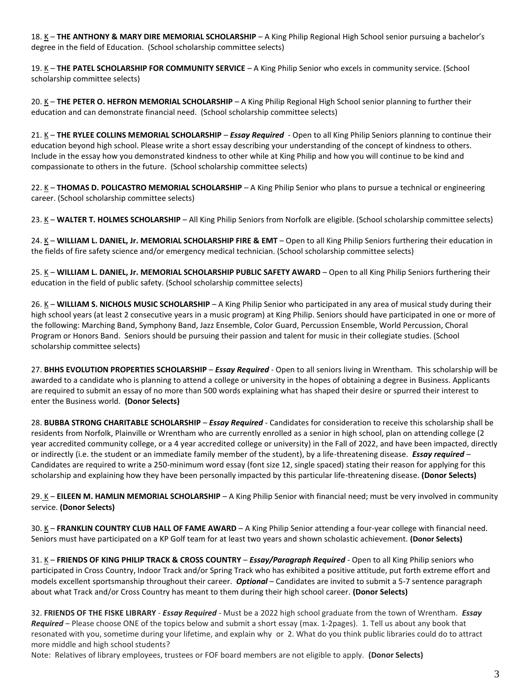18. K - THE ANTHONY & MARY DIRE MEMORIAL SCHOLARSHIP - A King Philip Regional High School senior pursuing a bachelor's degree in the field of Education. (School scholarship committee selects)

19. K – **THE PATEL SCHOLARSHIP FOR COMMUNITY SERVICE** – A King Philip Senior who excels in community service. (School scholarship committee selects)

20. K – **THE PETER O. HEFRON MEMORIAL SCHOLARSHIP** – A King Philip Regional High School senior planning to further their education and can demonstrate financial need. (School scholarship committee selects)

21. K – **THE RYLEE COLLINS MEMORIAL SCHOLARSHIP** – *Essay Required* - Open to all King Philip Seniors planning to continue their education beyond high school. Please write a short essay describing your understanding of the concept of kindness to others. Include in the essay how you demonstrated kindness to other while at King Philip and how you will continue to be kind and compassionate to others in the future. (School scholarship committee selects)

22. K – **THOMAS D. POLICASTRO MEMORIAL SCHOLARSHIP** – A King Philip Senior who plans to pursue a technical or engineering career. (School scholarship committee selects)

23. K – WALTER T. HOLMES SCHOLARSHIP – All King Philip Seniors from Norfolk are eligible. (School scholarship committee selects)

24. K - WILLIAM L. DANIEL, Jr. MEMORIAL SCHOLARSHIP FIRE & EMT - Open to all King Philip Seniors furthering their education in the fields of fire safety science and/or emergency medical technician. (School scholarship committee selects)

25. K - WILLIAM L. DANIEL, Jr. MEMORIAL SCHOLARSHIP PUBLIC SAFETY AWARD - Open to all King Philip Seniors furthering their education in the field of public safety. (School scholarship committee selects)

26. K – **WILLIAM S. NICHOLS MUSIC SCHOLARSHIP** – A King Philip Senior who participated in any area of musical study during their high school years (at least 2 consecutive years in a music program) at King Philip. Seniors should have participated in one or more of the following: Marching Band, Symphony Band, Jazz Ensemble, Color Guard, Percussion Ensemble, World Percussion, Choral Program or Honors Band. Seniors should be pursuing their passion and talent for music in their collegiate studies. (School scholarship committee selects)

27. **BHHS EVOLUTION PROPERTIES SCHOLARSHIP** – *Essay Required* - Open to all seniors living in Wrentham. This scholarship will be awarded to a candidate who is planning to attend a college or university in the hopes of obtaining a degree in Business. Applicants are required to submit an essay of no more than 500 words explaining what has shaped their desire or spurred their interest to enter the Business world. **(Donor Selects)**

28. **BUBBA STRONG CHARITABLE SCHOLARSHIP** – *Essay Required* - Candidates for consideration to receive this scholarship shall be residents from Norfolk, Plainville or Wrentham who are currently enrolled as a senior in high school, plan on attending college (2 year accredited community college, or a 4 year accredited college or university) in the Fall of 2022, and have been impacted, directly or indirectly (i.e. the student or an immediate family member of the student), by a life-threatening disease. *Essay required* – Candidates are required to write a 250-minimum word essay (font size 12, single spaced) stating their reason for applying for this scholarship and explaining how they have been personally impacted by this particular life-threatening disease. **(Donor Selects)**

29. K – **EILEEN M. HAMLIN MEMORIAL SCHOLARSHIP** – A King Philip Senior with financial need; must be very involved in community service. **(Donor Selects)**

30. K – FRANKLIN COUNTRY CLUB HALL OF FAME AWARD – A King Philip Senior attending a four-year college with financial need. Seniors must have participated on a KP Golf team for at least two years and shown scholastic achievement. **(Donor Selects)**

31. K – **FRIENDS OF KING PHILIP TRACK & CROSS COUNTRY** – *Essay/Paragraph Required* - Open to all King Philip seniors who participated in Cross Country, Indoor Track and/or Spring Track who has exhibited a positive attitude, put forth extreme effort and models excellent sportsmanship throughout their career. *Optional* – Candidates are invited to submit a 5-7 sentence paragraph about what Track and/or Cross Country has meant to them during their high school career. **(Donor Selects)**

32. **FRIENDS OF THE FISKE LIBRARY** - *Essay Required* - Must be a 2022 high school graduate from the town of Wrentham. *Essay Required* – Please choose ONE of the topics below and submit a short essay (max. 1-2pages). 1. Tell us about any book that resonated with you, sometime during your lifetime, and explain why or 2. What do you think public libraries could do to attract more middle and high school students?

Note: Relatives of library employees, trustees or FOF board members are not eligible to apply. **(Donor Selects)**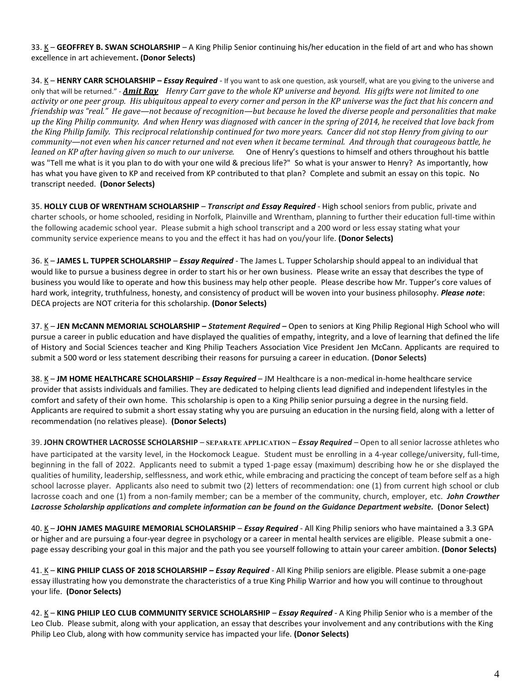33. K – **GEOFFREY B. SWAN SCHOLARSHIP** – A King Philip Senior continuing his/her education in the field of art and who has shown excellence in art achievement**. (Donor Selects)**

34. K – HENRY CARR SCHOLARSHIP – *Essay Required* - If you want to ask one question, ask yourself, what are you giving to the universe and only that will be returned." - *[Amit Ray](https://www.goodreads.com/author/show/492884.Amit_Ray) Henry Carr gave to the whole KP universe and beyond. His gifts were not limited to one activity or one peer group. His ubiquitous appeal to every corner and person in the KP universe was the fact that his concern and friendship was "real." He gave—not because of recognition—but because he loved the diverse people and personalities that make up the King Philip community. And when Henry was diagnosed with cancer in the spring of 2014, he received that love back from the King Philip family. This reciprocal relationship continued for two more years. Cancer did not stop Henry from giving to our community—not even when his cancer returned and not even when it became terminal. And through that courageous battle, he leaned on KP after having given so much to our universe.* One of Henry's questions to himself and others throughout his battle was "Tell me what is it you plan to do with your one wild & precious life?" So what is your answer to Henry? As importantly, how has what you have given to KP and received from KP contributed to that plan? Complete and submit an essay on this topic. No transcript needed. **(Donor Selects)**

35. **HOLLY CLUB OF WRENTHAM SCHOLARSHIP** – *Transcript and Essay Required* - High school seniors from public, private and charter schools, or home schooled, residing in Norfolk, Plainville and Wrentham, planning to further their education full-time within the following academic school year. Please submit a high school transcript and a 200 word or less essay stating what your community service experience means to you and the effect it has had on you/your life. **(Donor Selects)**

36. K – **JAMES L. TUPPER SCHOLARSHIP** – *Essay Required* - The James L. Tupper Scholarship should appeal to an individual that would like to pursue a business degree in order to start his or her own business. Please write an essay that describes the type of business you would like to operate and how this business may help other people. Please describe how Mr. Tupper's core values of hard work, integrity, truthfulness, honesty, and consistency of product will be woven into your business philosophy. *Please note*: DECA projects are NOT criteria for this scholarship. **(Donor Selects)**

37. K – **JEN McCANN MEMORIAL SCHOLARSHIP –** *Statement Required* **–** Open to seniors at King Philip Regional High School who will pursue a career in public education and have displayed the qualities of empathy, integrity, and a love of learning that defined the life of History and Social Sciences teacher and King Philip Teachers Association Vice President Jen McCann. Applicants are required to submit a 500 word or less statement describing their reasons for pursuing a career in education. **(Donor Selects)**

38. K – **JM HOME HEALTHCARE SCHOLARSHIP** – *Essay Required* – JM Healthcare is a non-medical in-home healthcare service provider that assists individuals and families. They are dedicated to helping clients lead dignified and independent lifestyles in the comfort and safety of their own home. This scholarship is open to a King Philip senior pursuing a degree in the nursing field. Applicants are required to submit a short essay stating why you are pursuing an education in the nursing field, along with a letter of recommendation (no relatives please). **(Donor Selects)**

39. **JOHN CROWTHER LACROSSE SCHOLARSHIP** – **SEPARATE APPLICATION** – *Essay Required* – Open to all senior lacrosse athletes who have participated at the varsity level, in the Hockomock League. Student must be enrolling in a 4-year college/university, full-time, beginning in the fall of 2022. Applicants need to submit a typed 1-page essay (maximum) describing how he or she displayed the qualities of humility, leadership, selflessness, and work ethic, while embracing and practicing the concept of team before self as a high school lacrosse player. Applicants also need to submit two (2) letters of recommendation: one (1) from current high school or club lacrosse coach and one (1) from a non-family member; can be a member of the community, church, employer, etc*. John Crowther Lacrosse Scholarship applications and complete information can be found on the Guidance Department website.* **(Donor Select)**

40. K – **JOHN JAMES MAGUIRE MEMORIAL SCHOLARSHIP** – *Essay Required* - All King Philip seniors who have maintained a 3.3 GPA or higher and are pursuing a four-year degree in psychology or a career in mental health services are eligible. Please submit a onepage essay describing your goal in this major and the path you see yourself following to attain your career ambition. **(Donor Selects)**

41. K – **KING PHILIP CLASS OF 2018 SCHOLARSHIP –** *Essay Required -* All King Philip seniors are eligible. Please submit a one-page essay illustrating how you demonstrate the characteristics of a true King Philip Warrior and how you will continue to throughout your life. **(Donor Selects)**

42. K – KING PHILIP LEO CLUB COMMUNITY SERVICE SCHOLARSHIP – *Essay Required* - A King Philip Senior who is a member of the Leo Club. Please submit, along with your application, an essay that describes your involvement and any contributions with the King Philip Leo Club, along with how community service has impacted your life. **(Donor Selects)**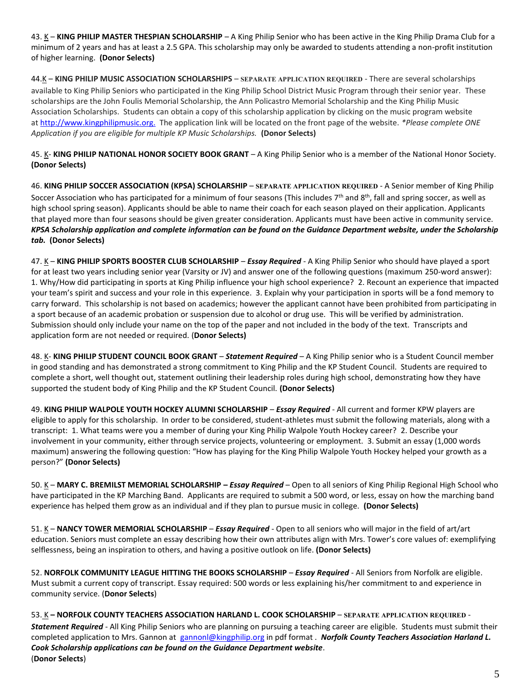43. K – KING PHILIP MASTER THESPIAN SCHOLARSHIP – A King Philip Senior who has been active in the King Philip Drama Club for a minimum of 2 years and has at least a 2.5 GPA. This scholarship may only be awarded to students attending a non-profit institution of higher learning. **(Donor Selects)**

44.K – **KING PHILIP MUSIC ASSOCIATION SCHOLARSHIPS** – **SEPARATE APPLICATION REQUIRED** - There are several scholarships available to King Philip Seniors who participated in the King Philip School District Music Program through their senior year. These scholarships are the John Foulis Memorial Scholarship, the Ann Policastro Memorial Scholarship and the King Philip Music Association Scholarships. Students can obtain a copy of this scholarship application by clicking on the music program website at [http://www.kingphilipmusic.org.](http://www.kingphilipmusic.org./) The application link will be located on the front page of the website. *\*Please complete ONE Application if you are eligible for multiple KP Music Scholarships.* **(Donor Selects)**

45. K- KING PHILIP NATIONAL HONOR SOCIETY BOOK GRANT - A King Philip Senior who is a member of the National Honor Society. **(Donor Selects)**

46. **KING PHILIP SOCCER ASSOCIATION (KPSA) SCHOLARSHIP** – **SEPARATE APPLICATION REQUIRED** - A Senior member of King Philip Soccer Association who has participated for a minimum of four seasons (This includes  $7<sup>th</sup>$  and  $8<sup>th</sup>$ , fall and spring soccer, as well as high school spring season). Applicants should be able to name their coach for each season played on their application. Applicants that played more than four seasons should be given greater consideration. Applicants must have been active in community service. *KPSA Scholarship application and complete information can be found on the Guidance Department website, under the Scholarship tab.* **(Donor Selects)**

47. K - KING PHILIP SPORTS BOOSTER CLUB SCHOLARSHIP - *Essay Required* - A King Philip Senior who should have played a sport for at least two years including senior year (Varsity or JV) and answer one of the following questions (maximum 250-word answer): 1. Why/How did participating in sports at King Philip influence your high school experience? 2. Recount an experience that impacted your team's spirit and success and your role in this experience. 3. Explain why your participation in sports will be a fond memory to carry forward. This scholarship is not based on academics; however the applicant cannot have been prohibited from participating in a sport because of an academic probation or suspension due to alcohol or drug use. This will be verified by administration. Submission should only include your name on the top of the paper and not included in the body of the text. Transcripts and application form are not needed or required. (**Donor Selects)**

48. K- **KING PHILIP STUDENT COUNCIL BOOK GRANT** – *Statement Required* – A King Philip senior who is a Student Council member in good standing and has demonstrated a strong commitment to King Philip and the KP Student Council. Students are required to complete a short, well thought out, statement outlining their leadership roles during high school, demonstrating how they have supported the student body of King Philip and the KP Student Council. **(Donor Selects)**

49. **KING PHILIP WALPOLE YOUTH HOCKEY ALUMNI SCHOLARSHIP** – *Essay Required* - All current and former KPW players are eligible to apply for this scholarship. In order to be considered, student-athletes must submit the following materials, along with a transcript: 1. What teams were you a member of during your King Philip Walpole Youth Hockey career? 2. Describe your involvement in your community, either through service projects, volunteering or employment. 3. Submit an essay (1,000 words maximum) answering the following question: "How has playing for the King Philip Walpole Youth Hockey helped your growth as a person?" **(Donor Selects)**

50. K – **MARY C. BREMILST MEMORIAL SCHOLARSHIP –** *Essay Required* – Open to all seniors of King Philip Regional High School who have participated in the KP Marching Band. Applicants are required to submit a 500 word, or less, essay on how the marching band experience has helped them grow as an individual and if they plan to pursue music in college. **(Donor Selects)**

51. K – NANCY TOWER MEMORIAL SCHOLARSHIP – *Essay Required* - Open to all seniors who will major in the field of art/art education. Seniors must complete an essay describing how their own attributes align with Mrs. Tower's core values of: exemplifying selflessness, being an inspiration to others, and having a positive outlook on life. **(Donor Selects)**

52. **NORFOLK COMMUNITY LEAGUE HITTING THE BOOKS SCHOLARSHIP** – *Essay Required* - All Seniors from Norfolk are eligible. Must submit a current copy of transcript. Essay required: 500 words or less explaining his/her commitment to and experience in community service. (**Donor Selects**)

53. K **– NORFOLK COUNTY TEACHERS ASSOCIATION HARLAND L. COOK SCHOLARSHIP** – **SEPARATE APPLICATION REQUIRED** - *Statement Required* - All King Philip Seniors who are planning on pursuing a teaching career are eligible. Students must submit their completed application to Mrs. Gannon at [gannonl@kingphilip.org](mailto:gannonl@kingphilip.or) in pdf format . Norfolk County Teachers Association Harland L. *Cook Scholarship applications can be found on the Guidance Department website*. (**Donor Selects**)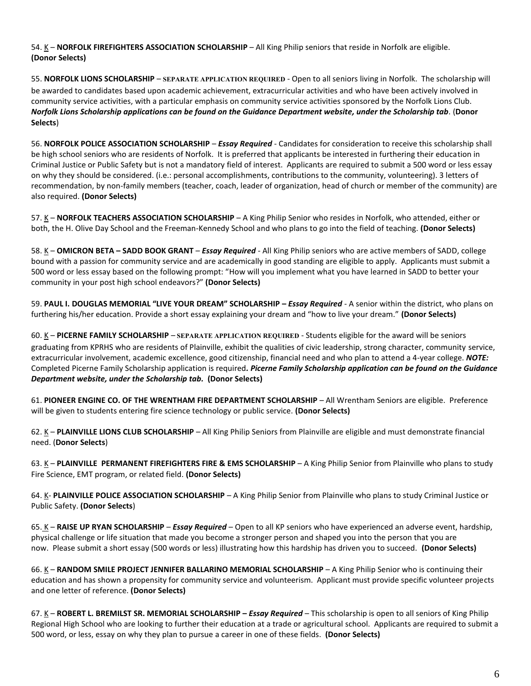54. K - NORFOLK FIREFIGHTERS ASSOCIATION SCHOLARSHIP - All King Philip seniors that reside in Norfolk are eligible. **(Donor Selects)**

55. **NORFOLK LIONS SCHOLARSHIP** – **SEPARATE APPLICATION REQUIRED** - Open to all seniors living in Norfolk. The scholarship will be awarded to candidates based upon academic achievement, extracurricular activities and who have been actively involved in community service activities, with a particular emphasis on community service activities sponsored by the Norfolk Lions Club. *Norfolk Lions Scholarship applications can be found on the Guidance Department website, under the Scholarship tab*. (**Donor Selects**)

56. **NORFOLK POLICE ASSOCIATION SCHOLARSHIP** – *Essay Required* - Candidates for consideration to receive this scholarship shall be high school seniors who are residents of Norfolk. It is preferred that applicants be interested in furthering their education in Criminal Justice or Public Safety but is not a mandatory field of interest. Applicants are required to submit a 500 word or less essay on why they should be considered. (i.e.: personal accomplishments, contributions to the community, volunteering). 3 letters of recommendation, by non-family members (teacher, coach, leader of organization, head of church or member of the community) are also required. **(Donor Selects)**

57. K - NORFOLK TEACHERS ASSOCIATION SCHOLARSHIP - A King Philip Senior who resides in Norfolk, who attended, either or both, the H. Olive Day School and the Freeman-Kennedy School and who plans to go into the field of teaching. **(Donor Selects)**

58. K – **OMICRON BETA – SADD BOOK GRANT** – *Essay Required* - All King Philip seniors who are active members of SADD, college bound with a passion for community service and are academically in good standing are eligible to apply. Applicants must submit a 500 word or less essay based on the following prompt: "How will you implement what you have learned in SADD to better your community in your post high school endeavors?" **(Donor Selects)**

59. **PAUL I. DOUGLAS MEMORIAL "LIVE YOUR DREAM" SCHOLARSHIP –** *Essay Required* - A senior within the district, who plans on furthering his/her education. Provide a short essay explaining your dream and "how to live your dream." **(Donor Selects)**

60. K – **PICERNE FAMILY SCHOLARSHIP** – **SEPARATE APPLICATION REQUIRED** - Students eligible for the award will be seniors graduating from KPRHS who are residents of Plainville, exhibit the qualities of civic leadership, strong character, community service, extracurricular involvement, academic excellence, good citizenship, financial need and who plan to attend a 4-year college. *NOTE:* Completed Picerne Family Scholarship application is required*. Picerne Family Scholarship application can be found on the Guidance Department website, under the Scholarship tab.* **(Donor Selects)**

61. **PIONEER ENGINE CO. OF THE WRENTHAM FIRE DEPARTMENT SCHOLARSHIP** – All Wrentham Seniors are eligible. Preference will be given to students entering fire science technology or public service. **(Donor Selects)**

62. K – **PLAINVILLE LIONS CLUB SCHOLARSHIP** – All King Philip Seniors from Plainville are eligible and must demonstrate financial need. (**Donor Selects**)

63. K – **PLAINVILLE PERMANENT FIREFIGHTERS FIRE & EMS SCHOLARSHIP** – A King Philip Senior from Plainville who plans to study Fire Science, EMT program, or related field. **(Donor Selects)**

64. K- **PLAINVILLE POLICE ASSOCIATION SCHOLARSHIP** – A King Philip Senior from Plainville who plans to study Criminal Justice or Public Safety. **(Donor Selects**)

65. K – **RAISE UP RYAN SCHOLARSHIP** – *Essay Required* – Open to all KP seniors who have experienced an adverse event, hardship, physical challenge or life situation that made you become a stronger person and shaped you into the person that you are now. Please submit a short essay (500 words or less) illustrating how this hardship has driven you to succeed. **(Donor Selects)**

66. K – **RANDOM SMILE PROJECT JENNIFER BALLARINO MEMORIAL SCHOLARSHIP** – A King Philip Senior who is continuing their education and has shown a propensity for community service and volunteerism. Applicant must provide specific volunteer projects and one letter of reference. **(Donor Selects)**

67. K – ROBERT L. BREMILST SR. MEMORIAL SCHOLARSHIP – *Essay Required* – This scholarship is open to all seniors of King Philip Regional High School who are looking to further their education at a trade or agricultural school. Applicants are required to submit a 500 word, or less, essay on why they plan to pursue a career in one of these fields. **(Donor Selects)**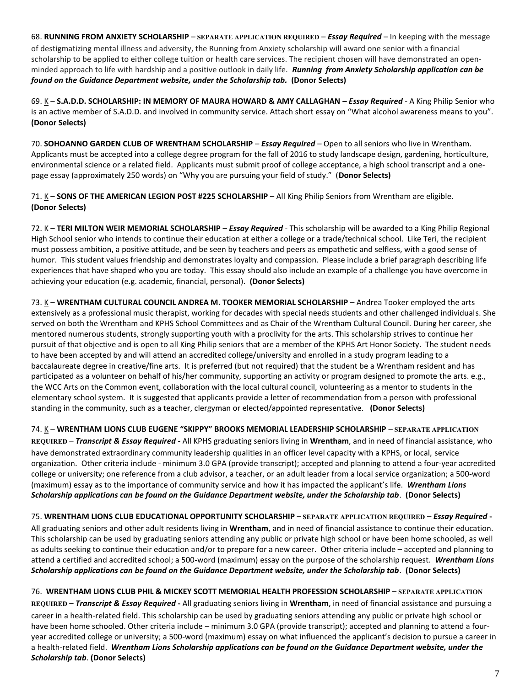68. **RUNNING FROM ANXIETY SCHOLARSHIP** – **SEPARATE APPLICATION REQUIRED** – *Essay Required* – In keeping with the message of destigmatizing mental illness and adversity, the Running from Anxiety scholarship will award one senior with a financial scholarship to be applied to either college tuition or health care services. The recipient chosen will have demonstrated an openminded approach to life with hardship and a positive outlook in daily life. *Running from Anxiety Scholarship application can be found on the Guidance Department website, under the Scholarship tab.* **(Donor Selects)**

69. K – **S.A.D.D. SCHOLARSHIP: IN MEMORY OF MAURA HOWARD & AMY CALLAGHAN –** *Essay Required* - A King Philip Senior who is an active member of S.A.D.D. and involved in community service. Attach short essay on "What alcohol awareness means to you". **(Donor Selects)**

70. **SOHOANNO GARDEN CLUB OF WRENTHAM SCHOLARSHIP** – *Essay Required* – Open to all seniors who live in Wrentham. Applicants must be accepted into a college degree program for the fall of 2016 to study landscape design, gardening, horticulture, environmental science or a related field. Applicants must submit proof of college acceptance, a high school transcript and a onepage essay (approximately 250 words) on "Why you are pursuing your field of study." (**Donor Selects)**

71. K – **SONS OF THE AMERICAN LEGION POST #225 SCHOLARSHIP** – All King Philip Seniors from Wrentham are eligible. **(Donor Selects)**

72. K – **TERI MILTON WEIR MEMORIAL SCHOLARSHIP** – *Essay Required* - This scholarship will be awarded to a King Philip Regional High School senior who intends to continue their education at either a college or a trade/technical school. Like Teri, the recipient must possess ambition, a positive attitude, and be seen by teachers and peers as empathetic and selfless, with a good sense of humor. This student values friendship and demonstrates loyalty and compassion. Please include a brief paragraph describing life experiences that have shaped who you are today. This essay should also include an example of a challenge you have overcome in achieving your education (e.g. academic, financial, personal). **(Donor Selects)**

73. K – **WRENTHAM CULTURAL COUNCIL ANDREA M. TOOKER MEMORIAL SCHOLARSHIP** – Andrea Tooker employed the arts extensively as a professional music therapist, working for decades with special needs students and other challenged individuals. She served on both the Wrentham and KPHS School Committees and as Chair of the Wrentham Cultural Council. During her career, she mentored numerous students, strongly supporting youth with a proclivity for the arts. This scholarship strives to continue her pursuit of that objective and is open to all King Philip seniors that are a member of the KPHS Art Honor Society. The student needs to have been accepted by and will attend an accredited college/university and enrolled in a study program leading to a baccalaureate degree in creative/fine arts. It is preferred (but not required) that the student be a Wrentham resident and has participated as a volunteer on behalf of his/her community, supporting an activity or program designed to promote the arts. e.g., the WCC Arts on the Common event, collaboration with the local cultural council, volunteering as a mentor to students in the elementary school system. It is suggested that applicants provide a letter of recommendation from a person with professional standing in the community, such as a teacher, clergyman or elected/appointed representative. **(Donor Selects)**

74. K – **WRENTHAM LIONS CLUB EUGENE "SKIPPY" BROOKS MEMORIAL LEADERSHIP SCHOLARSHIP** – **SEPARATE APPLICATION REQUIRED** – *Transcript & Essay Required* - All KPHS graduating seniors living in **Wrentham**, and in need of financial assistance, who have demonstrated extraordinary community leadership qualities in an officer level capacity with a KPHS, or local, service organization. Other criteria include - minimum 3.0 GPA (provide transcript); accepted and planning to attend a four-year accredited college or university; one reference from a club advisor, a teacher, or an adult leader from a local service organization; a 500-word (maximum) essay as to the importance of community service and how it has impacted the applicant's life. *Wrentham Lions Scholarship applications can be found on the Guidance Department website, under the Scholarship tab*. **(Donor Selects)**

75. **WRENTHAM LIONS CLUB EDUCATIONAL OPPORTUNITY SCHOLARSHIP** – **SEPARATE APPLICATION REQUIRED** – *Essay Required* **-**

All graduating seniors and other adult residents living in **Wrentham**, and in need of financial assistance to continue their education. This scholarship can be used by graduating seniors attending any public or private high school or have been home schooled, as well as adults seeking to continue their education and/or to prepare for a new career. Other criteria include – accepted and planning to attend a certified and accredited school; a 500-word (maximum) essay on the purpose of the scholarship request. *Wrentham Lions Scholarship applications can be found on the Guidance Department website, under the Scholarship tab*. **(Donor Selects)**

76. **WRENTHAM LIONS CLUB PHIL & MICKEY SCOTT MEMORIAL HEALTH PROFESSION SCHOLARSHIP** – **SEPARATE APPLICATION REQUIRED** – *Transcript & Essay Required* **-** All graduating seniors living in **Wrentham**, in need of financial assistance and pursuing a career in a health-related field. This scholarship can be used by graduating seniors attending any public or private high school or have been home schooled. Other criteria include – minimum 3.0 GPA (provide transcript); accepted and planning to attend a fouryear accredited college or university; a 500-word (maximum) essay on what influenced the applicant's decision to pursue a career in a health-related field. *Wrentham Lions Scholarship applications can be found on the Guidance Department website, under the Scholarship tab*. **(Donor Selects)**